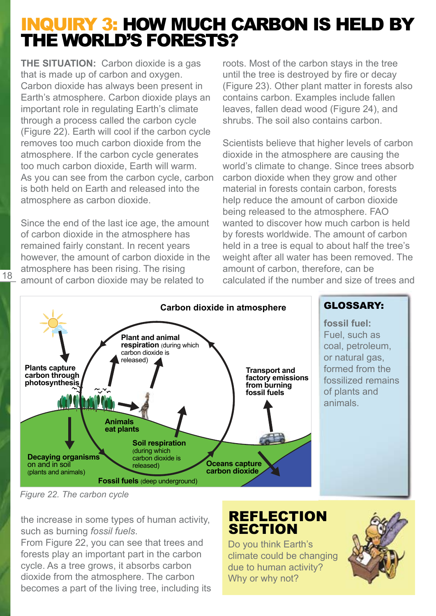# INQUIRY 3: HOW MUCH CARBON IS HELD BY THE WORLD'S FORESTS?

**THE SITUATION:** Carbon dioxide is a gas that is made up of carbon and oxygen. Carbon dioxide has always been present in Earth's atmosphere. Carbon dioxide plays an important role in regulating Earth's climate through a process called the carbon cycle (Figure 22). Earth will cool if the carbon cycle removes too much carbon dioxide from the atmosphere. If the carbon cycle generates too much carbon dioxide, Earth will warm. As you can see from the carbon cycle, carbon is both held on Earth and released into the atmosphere as carbon dioxide.

Since the end of the last ice age, the amount of carbon dioxide in the atmosphere has remained fairly constant. In recent years however, the amount of carbon dioxide in the atmosphere has been rising. The rising amount of carbon dioxide may be related to

roots. Most of the carbon stays in the tree until the tree is destroyed by fire or decay (Figure 23). Other plant matter in forests also contains carbon. Examples include fallen leaves, fallen dead wood (Figure 24), and shrubs. The soil also contains carbon.

Scientists believe that higher levels of carbon dioxide in the atmosphere are causing the world's climate to change. Since trees absorb carbon dioxide when they grow and other material in forests contain carbon, forests help reduce the amount of carbon dioxide being released to the atmosphere. FAO wanted to discover how much carbon is held by forests worldwide. The amount of carbon held in a tree is equal to about half the tree's weight after all water has been removed. The amount of carbon, therefore, can be calculated if the number and size of trees and



#### GLOSSARY:

**fossil fuel:** Fuel, such as coal, petroleum, or natural gas, formed from the fossilized remains of plants and animals.

*Figure 22. The carbon cycle*

18

the increase in some types of human activity, such as burning *fossil fuels*.

From Figure 22, you can see that trees and forests play an important part in the carbon cycle. As a tree grows, it absorbs carbon dioxide from the atmosphere. The carbon becomes a part of the living tree, including its

## REFLECTION **SECTION**

Do you think Earth's climate could be changing due to human activity? Why or why not?

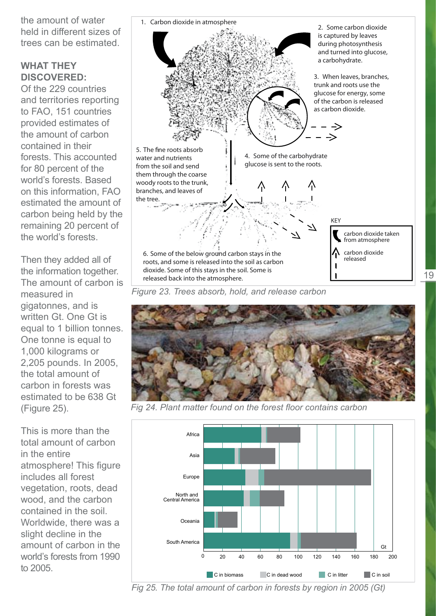the amount of water held in different sizes of trees can be estimated.

#### **WHAT THEY DISCOVERED:**

Of the 229 countries and territories reporting to FAO, 151 countries provided estimates of the amount of carbon contained in their forests. This accounted for 80 percent of the world's forests. Based on this information, FAO estimated the amount of carbon being held by the remaining 20 percent of the world's forests.

Then they added all of the information together. The amount of carbon is measured in gigatonnes, and is written Gt. One Gt is equal to 1 billion tonnes. One tonne is equal to 1,000 kilograms or 2,205 pounds. In 2005, the total amount of carbon in forests was estimated to be 638 Gt (Figure 25).

This is more than the total amount of carbon in the entire atmosphere! This figure includes all forest vegetation, roots, dead wood, and the carbon contained in the soil. Worldwide, there was a slight decline in the amount of carbon in the world's forests from 1990 to 2005.





19

Fig 24. Plant matter found on the forest floor contains carbon

![](_page_1_Figure_8.jpeg)

*Fig 25. The total amount of carbon in forests by region in 2005 (Gt)*